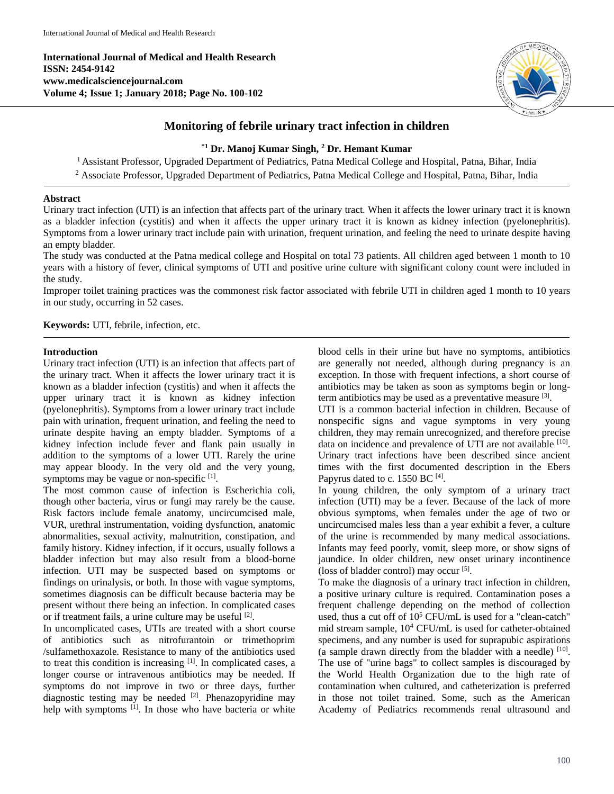**International Journal of Medical and Health Research ISSN: 2454-9142 www.medicalsciencejournal.com Volume 4; Issue 1; January 2018; Page No. 100-102**



# **Monitoring of febrile urinary tract infection in children**

# **\*1 Dr. Manoj Kumar Singh, <sup>2</sup> Dr. Hemant Kumar**

<sup>1</sup> Assistant Professor, Upgraded Department of Pediatrics, Patna Medical College and Hospital, Patna, Bihar, India <sup>2</sup> Associate Professor, Upgraded Department of Pediatrics, Patna Medical College and Hospital, Patna, Bihar, India

## **Abstract**

Urinary tract infection (UTI) is an infection that affects part of the urinary tract. When it affects the lower urinary tract it is known as a bladder infection (cystitis) and when it affects the upper urinary tract it is known as kidney infection (pyelonephritis). Symptoms from a lower urinary tract include pain with urination, frequent urination, and feeling the need to urinate despite having an empty bladder.

The study was conducted at the Patna medical college and Hospital on total 73 patients. All children aged between 1 month to 10 years with a history of fever, clinical symptoms of UTI and positive urine culture with significant colony count were included in the study.

Improper toilet training practices was the commonest risk factor associated with febrile UTI in children aged 1 month to 10 years in our study, occurring in 52 cases.

**Keywords:** UTI, febrile, infection, etc.

## **Introduction**

Urinary tract infection (UTI) is an infection that affects part of the urinary tract. When it affects the lower urinary tract it is known as a bladder infection (cystitis) and when it affects the upper urinary tract it is known as kidney infection (pyelonephritis). Symptoms from a lower urinary tract include pain with urination, frequent urination, and feeling the need to urinate despite having an empty bladder. Symptoms of a kidney infection include fever and flank pain usually in addition to the symptoms of a lower UTI. Rarely the urine may appear bloody. In the very old and the very young, symptoms may be vague or non-specific [1].

The most common cause of infection is Escherichia coli, though other bacteria, virus or fungi may rarely be the cause. Risk factors include female anatomy, uncircumcised male, VUR, urethral instrumentation, voiding dysfunction, anatomic abnormalities, sexual activity, malnutrition, constipation, and family history. Kidney infection, if it occurs, usually follows a bladder infection but may also result from a blood-borne infection. UTI may be suspected based on symptoms or findings on urinalysis, or both. In those with vague symptoms, sometimes diagnosis can be difficult because bacteria may be present without there being an infection. In complicated cases or if treatment fails, a urine culture may be useful [2].

In uncomplicated cases, UTIs are treated with a short course of antibiotics such as nitrofurantoin or trimethoprim /sulfamethoxazole. Resistance to many of the antibiotics used to treat this condition is increasing [1]. In complicated cases, a longer course or intravenous antibiotics may be needed. If symptoms do not improve in two or three days, further diagnostic testing may be needed <sup>[2]</sup>. Phenazopyridine may help with symptoms <sup>[1]</sup>. In those who have bacteria or white

blood cells in their urine but have no symptoms, antibiotics are generally not needed, although during pregnancy is an exception. In those with frequent infections, a short course of antibiotics may be taken as soon as symptoms begin or longterm antibiotics may be used as a preventative measure [3].

UTI is a common bacterial infection in children. Because of nonspecific signs and vague symptoms in very young children, they may remain unrecognized, and therefore precise data on incidence and prevalence of UTI are not available [10]. Urinary tract infections have been described since ancient times with the first documented description in the Ebers Papyrus dated to c.  $1550$  BC  $^{[4]}$ .

In young children, the only symptom of a urinary tract infection (UTI) may be a fever. Because of the lack of more obvious symptoms, when females under the age of two or uncircumcised males less than a year exhibit a fever, a culture of the urine is recommended by many medical associations. Infants may feed poorly, vomit, sleep more, or show signs of jaundice. In older children, new onset urinary incontinence (loss of bladder control) may occur<sup>[5]</sup>.

To make the diagnosis of a urinary tract infection in children, a positive urinary culture is required. Contamination poses a frequent challenge depending on the method of collection used, thus a cut off of  $10^5$  CFU/mL is used for a "clean-catch" mid stream sample, 10<sup>4</sup> CFU/mL is used for catheter-obtained specimens, and any number is used for suprapubic aspirations (a sample drawn directly from the bladder with a needle)  $[10]$ . The use of "urine bags" to collect samples is discouraged by the World Health Organization due to the high rate of contamination when cultured, and catheterization is preferred in those not toilet trained. Some, such as the American Academy of Pediatrics recommends renal ultrasound and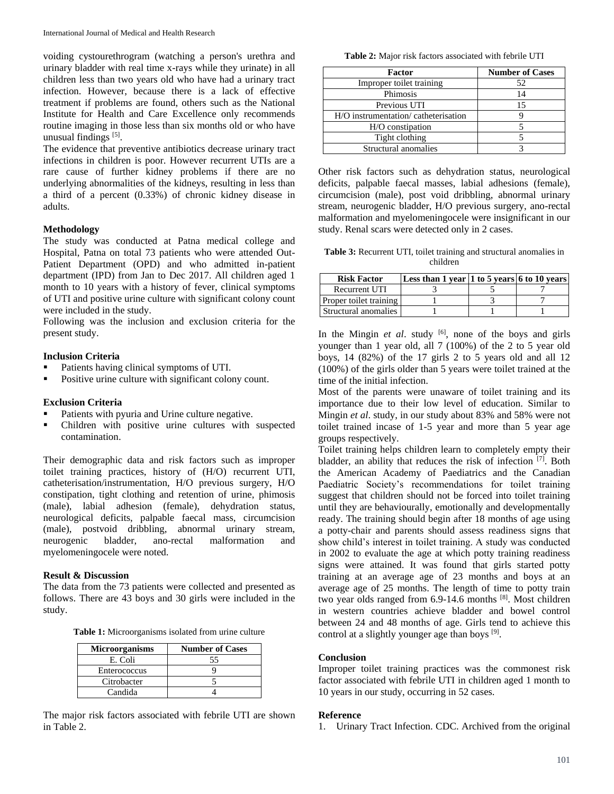voiding cystourethrogram (watching a person's urethra and urinary bladder with real time x-rays while they urinate) in all children less than two years old who have had a urinary tract infection. However, because there is a lack of effective treatment if problems are found, others such as the National Institute for Health and Care Excellence only recommends routine imaging in those less than six months old or who have unusual findings<sup>[5]</sup>.

The evidence that preventive antibiotics decrease urinary tract infections in children is poor. However recurrent UTIs are a rare cause of further kidney problems if there are no underlying abnormalities of the kidneys, resulting in less than a third of a percent (0.33%) of chronic kidney disease in adults.

#### **Methodology**

The study was conducted at Patna medical college and Hospital, Patna on total 73 patients who were attended Out-Patient Department (OPD) and who admitted in-patient department (IPD) from Jan to Dec 2017. All children aged 1 month to 10 years with a history of fever, clinical symptoms of UTI and positive urine culture with significant colony count were included in the study.

Following was the inclusion and exclusion criteria for the present study.

### **Inclusion Criteria**

- Patients having clinical symptoms of UTI.
- Positive urine culture with significant colony count.

#### **Exclusion Criteria**

- Patients with pyuria and Urine culture negative.
- Children with positive urine cultures with suspected contamination.

Their demographic data and risk factors such as improper toilet training practices, history of (H/O) recurrent UTI, catheterisation/instrumentation, H/O previous surgery, H/O constipation, tight clothing and retention of urine, phimosis (male), labial adhesion (female), dehydration status, neurological deficits, palpable faecal mass, circumcision (male), postvoid dribbling, abnormal urinary stream, neurogenic bladder, ano-rectal malformation and myelomeningocele were noted.

### **Result & Discussion**

The data from the 73 patients were collected and presented as follows. There are 43 boys and 30 girls were included in the study.

**Table 1:** Microorganisms isolated from urine culture

| <b>Microorganisms</b> | <b>Number of Cases</b> |
|-----------------------|------------------------|
| E. Coli               | 55                     |
| Enterococcus          |                        |
| Citrobacter           |                        |
| Candida               |                        |

The major risk factors associated with febrile UTI are shown in Table 2.

**Table 2:** Major risk factors associated with febrile UTI

| Factor                               | <b>Number of Cases</b> |  |
|--------------------------------------|------------------------|--|
| Improper toilet training             | 52                     |  |
| Phimosis                             |                        |  |
| Previous UTI                         | 15                     |  |
| H/O instrumentation/ catheterisation |                        |  |
| H/O constipation                     |                        |  |
| Tight clothing                       |                        |  |
| Structural anomalies                 |                        |  |

Other risk factors such as dehydration status, neurological deficits, palpable faecal masses, labial adhesions (female), circumcision (male), post void dribbling, abnormal urinary stream, neurogenic bladder, H/O previous surgery, ano-rectal malformation and myelomeningocele were insignificant in our study. Renal scars were detected only in 2 cases.

**Table 3:** Recurrent UTI, toilet training and structural anomalies in children

| <b>Risk Factor</b>     | Less than 1 year 1 to 5 years 6 to 10 years |  |
|------------------------|---------------------------------------------|--|
| Recurrent UTI          |                                             |  |
| Proper toilet training |                                             |  |
| Structural anomalies   |                                             |  |

In the Mingin *et al.* study <sup>[6]</sup>, none of the boys and girls younger than 1 year old, all 7 (100%) of the 2 to 5 year old boys, 14 (82%) of the 17 girls 2 to 5 years old and all 12 (100%) of the girls older than 5 years were toilet trained at the time of the initial infection.

Most of the parents were unaware of toilet training and its importance due to their low level of education. Similar to Mingin *et al*. study, in our study about 83% and 58% were not toilet trained incase of 1-5 year and more than 5 year age groups respectively.

Toilet training helps children learn to completely empty their bladder, an ability that reduces the risk of infection [7]. Both the American Academy of Paediatrics and the Canadian Paediatric Society's recommendations for toilet training suggest that children should not be forced into toilet training until they are behaviourally, emotionally and developmentally ready. The training should begin after 18 months of age using a potty-chair and parents should assess readiness signs that show child's interest in toilet training. A study was conducted in 2002 to evaluate the age at which potty training readiness signs were attained. It was found that girls started potty training at an average age of 23 months and boys at an average age of 25 months. The length of time to potty train two year olds ranged from 6.9-14.6 months [8]. Most children in western countries achieve bladder and bowel control between 24 and 48 months of age. Girls tend to achieve this control at a slightly younger age than boys  $[9]$ .

## **Conclusion**

Improper toilet training practices was the commonest risk factor associated with febrile UTI in children aged 1 month to 10 years in our study, occurring in 52 cases.

#### **Reference**

1. Urinary Tract Infection. CDC. Archived from the original